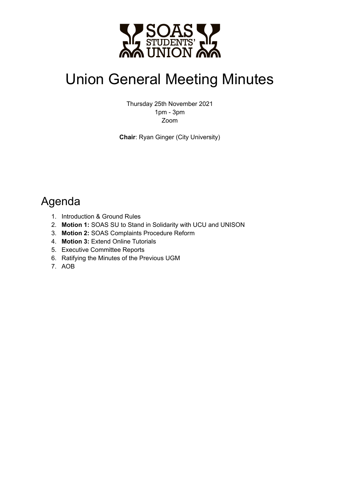

# Union General Meeting Minutes

Thursday 25th November 2021 1pm - 3pm Zoom

**Chair**: Ryan Ginger (City University)

### Agenda

- 1. Introduction & Ground Rules
- 2. **Motion 1:** SOAS SU to Stand in Solidarity with UCU and UNISON
- 3. **Motion 2:** SOAS Complaints Procedure Reform
- 4. **Motion 3:** Extend Online Tutorials
- 5. Executive Committee Reports
- 6. Ratifying the Minutes of the Previous UGM
- 7. AOB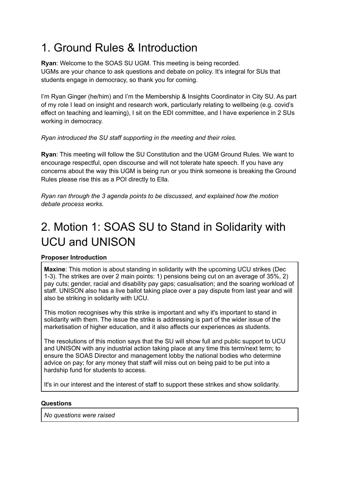# 1. Ground Rules & Introduction

**Ryan**: Welcome to the SOAS SU UGM. This meeting is being recorded. UGMs are your chance to ask questions and debate on policy. It's integral for SUs that students engage in democracy, so thank you for coming.

I'm Ryan Ginger (he/him) and I'm the Membership & Insights Coordinator in City SU. As part of my role I lead on insight and research work, particularly relating to wellbeing (e.g. covid's effect on teaching and learning), I sit on the EDI committee, and I have experience in 2 SUs working in democracy.

#### *Ryan introduced the SU staff supporting in the meeting and their roles.*

**Ryan**: This meeting will follow the SU Constitution and the UGM Ground Rules. We want to encourage respectful, open discourse and will not tolerate hate speech. If you have any concerns about the way this UGM is being run or you think someone is breaking the Ground Rules please rise this as a POI directly to Ella.

*Ryan ran through the 3 agenda points to be discussed, and explained how the motion debate process works.*

# 2. Motion 1: SOAS SU to Stand in Solidarity with UCU and UNISON

#### **Proposer Introduction**

**Maxine**: This motion is about standing in solidarity with the upcoming UCU strikes (Dec 1-3). The strikes are over 2 main points: 1) pensions being cut on an average of 35%, 2) pay cuts; gender, racial and disability pay gaps; casualisation; and the soaring workload of staff. UNISON also has a live ballot taking place over a pay dispute from last year and will also be striking in solidarity with UCU.

This motion recognises why this strike is important and why it's important to stand in solidarity with them. The issue the strike is addressing is part of the wider issue of the marketisation of higher education, and it also affects our experiences as students.

The resolutions of this motion says that the SU will show full and public support to UCU and UNISON with any industrial action taking place at any time this term/next term; to ensure the SOAS Director and management lobby the national bodies who determine advice on pay; for any money that staff will miss out on being paid to be put into a hardship fund for students to access.

It's in our interest and the interest of staff to support these strikes and show solidarity.

#### **Questions**

*No questions were raised*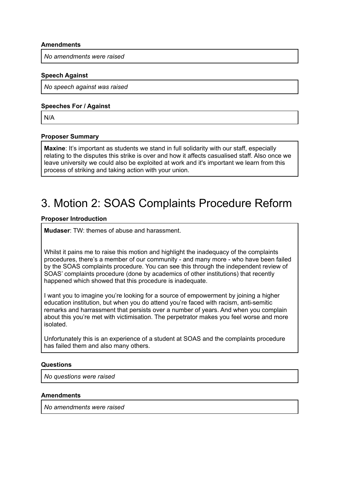#### **Amendments**

*No amendments were raised*

#### **Speech Against**

*No speech against was raised*

#### **Speeches For / Against**

N/A

#### **Proposer Summary**

**Maxine**: It's important as students we stand in full solidarity with our staff, especially relating to the disputes this strike is over and how it affects casualised staff. Also once we leave university we could also be exploited at work and it's important we learn from this process of striking and taking action with your union.

### 3. Motion 2: SOAS Complaints Procedure Reform

#### **Proposer Introduction**

**Mudaser**: TW: themes of abuse and harassment.

Whilst it pains me to raise this motion and highlight the inadequacy of the complaints procedures, there's a member of our community - and many more - who have been failed by the SOAS complaints procedure. You can see this through the independent review of SOAS' complaints procedure (done by academics of other institutions) that recently happened which showed that this procedure is inadequate.

I want you to imagine you're looking for a source of empowerment by joining a higher education institution, but when you do attend you're faced with racism, anti-semitic remarks and harrassment that persists over a number of years. And when you complain about this you're met with victimisation. The perpetrator makes you feel worse and more isolated.

Unfortunately this is an experience of a student at SOAS and the complaints procedure has failed them and also many others.

#### **Questions**

*No questions were raised*

#### **Amendments**

*No amendments were raised*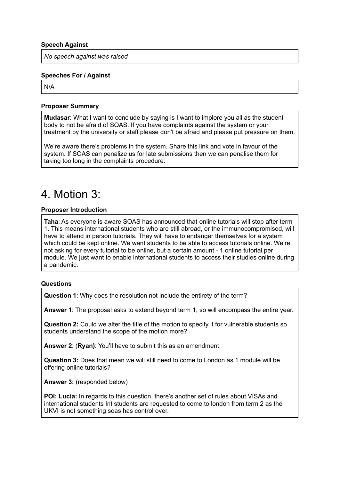#### **Speech Against**

*No speech against was raised*

#### **Speeches For / Against**

N/A

#### **Proposer Summary**

**Mudasar**: What I want to conclude by saying is I want to implore you all as the student body to not be afraid of SOAS. If you have complaints against the system or your treatment by the university or staff please don't be afraid and please put pressure on them.

We're aware there's problems in the system. Share this link and vote in favour of the system. If SOAS can penalize us for late submissions then we can penalise them for taking too long in the complaints procedure.

### 4. Motion 3:

#### **Proposer Introduction**

**Taha**: As everyone is aware SOAS has announced that online tutorials will stop after term 1. This means international students who are still abroad, or the immunocompromised, will have to attend in person tutorials. They will have to endanger themselves for a system which could be kept online. We want students to be able to access tutorials online. We're not asking for every tutorial to be online, but a certain amount - 1 online tutorial per module. We just want to enable international students to access their studies online during a pandemic.

#### **Questions**

**Question 1**: Why does the resolution not include the entirety of the term?

**Answer 1**: The proposal asks to extend beyond term 1, so will encompass the entire year.

**Question 2:** Could we alter the title of the motion to specify it for vulnerable students so students understand the scope of the motion more?

**Answer 2**: (**Ryan)**: You'll have to submit this as an amendment.

**Question 3:** Does that mean we will still need to come to London as 1 module will be offering online tutorials?

**Answer 3:** (responded below)

**POI: Lucia:** In regards to this question, there's another set of rules about VISAs and international students Int students are requested to come to london from term 2 as the UKVI is not something soas has control over.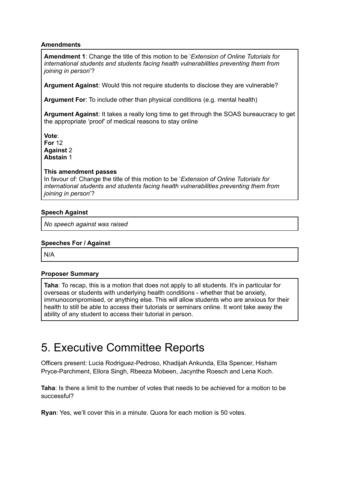#### **Amendments**

**Amendment 1**: Change the title of this motion to be '*Extension of Online Tutorials for international students and students facing health vulnerabilities preventing them from joining in person*'?

**Argument Against**: Would this not require students to disclose they are vulnerable?

**Argument For**: To include other than physical conditions (e.g. mental health)

**Argument Against**: It takes a really long time to get through the SOAS bureaucracy to get the appropriate 'proof' of medical reasons to stay online

**Vote**: **For** 12 **Against** 2 **Abstain** 1

#### **This amendment passes**

In favour of: Change the title of this motion to be '*Extension of Online Tutorials for international students and students facing health vulnerabilities preventing them from joining in person*'?

#### **Speech Against**

*No speech against was raised*

#### **Speeches For / Against**

N/A

#### **Proposer Summary**

**Taha**: To recap, this is a motion that does not apply to all students. It's in particular for overseas or students with underlying health conditions - whether that be anxiety, immunocompromised, or anything else. This will allow students who are anxious for their health to still be able to access their tutorials or seminars online. It wont take away the ability of any student to access their tutorial in person.

### 5. Executive Committee Reports

Officers present: Lucia Rodriguez-Pedroso, Khadijah Ankunda, Ella Spencer, Hisham Pryce-Parchment, Ellora Singh, Rbeeza Mobeen, Jacynthe Roesch and Lena Koch.

**Taha**: Is there a limit to the number of votes that needs to be achieved for a motion to be successful?

**Ryan**: Yes, we'll cover this in a minute. Quora for each motion is 50 votes.